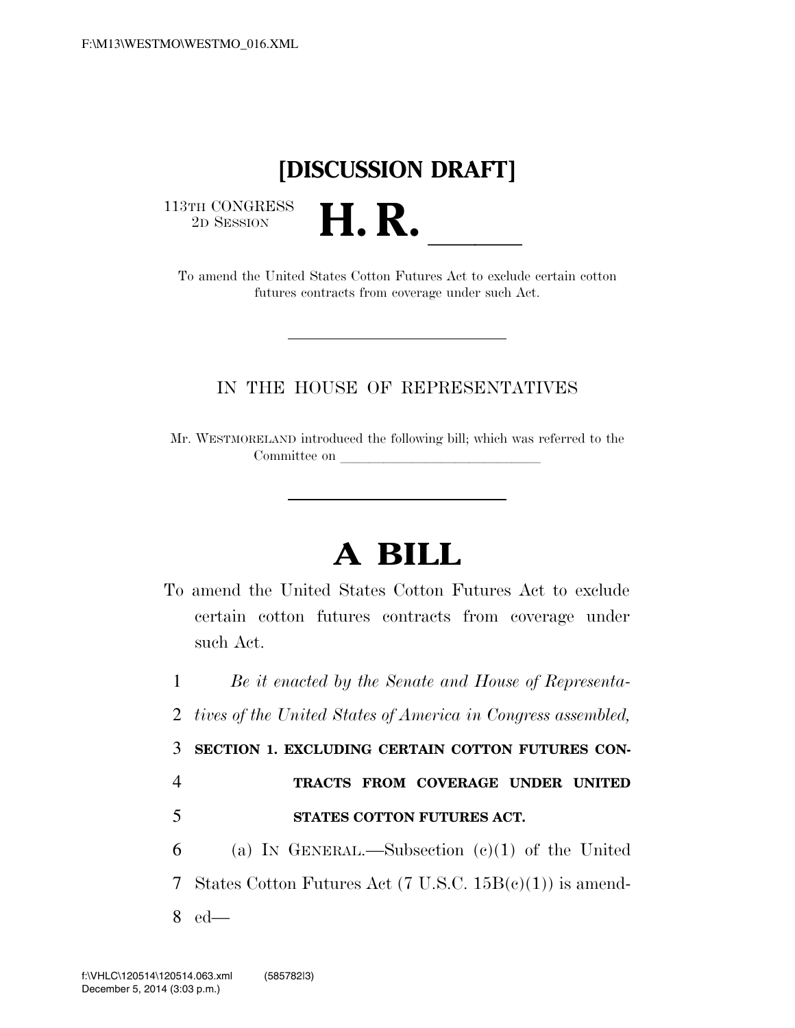## **[DISCUSSION DRAFT]**

 $\begin{array}{c} \textbf{113TH CONGRESS} \\ \textbf{2D} \textbf{Session} \end{array}$ 

<sup>3TH CONGRESS</sup><br>
To amend the United States Cotton Futures Act to exclude certain cotton futures contracts from coverage under such Act.

## IN THE HOUSE OF REPRESENTATIVES

Mr. WESTMORELAND introduced the following bill; which was referred to the Committee on

## **A BILL**

To amend the United States Cotton Futures Act to exclude certain cotton futures contracts from coverage under such Act.

1 *Be it enacted by the Senate and House of Representa-*

2 *tives of the United States of America in Congress assembled,* 

3 **SECTION 1. EXCLUDING CERTAIN COTTON FUTURES CON-**

## 4 **TRACTS FROM COVERAGE UNDER UNITED**  5 **STATES COTTON FUTURES ACT.**

6 (a) IN GENERAL.—Subsection  $(c)(1)$  of the United 7 States Cotton Futures Act (7 U.S.C. 15B(c)(1)) is amend-8 ed